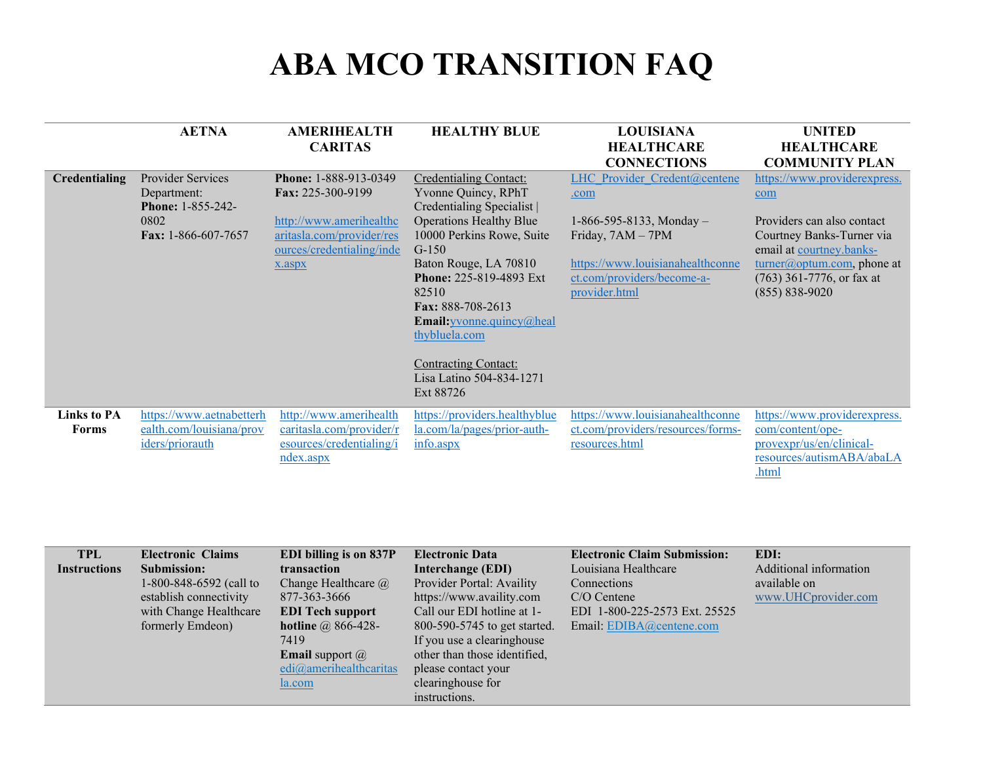## **ABA MCO TRANSITION FAQ**

|                    | <b>AETNA</b>                     | <b>AMERIHEALTH</b>                         | <b>HEALTHY BLUE</b>                             | <b>LOUISIANA</b>                  | <b>UNITED</b>                                                |
|--------------------|----------------------------------|--------------------------------------------|-------------------------------------------------|-----------------------------------|--------------------------------------------------------------|
|                    |                                  | <b>CARITAS</b>                             |                                                 | <b>HEALTHCARE</b>                 | <b>HEALTHCARE</b>                                            |
|                    |                                  |                                            |                                                 | <b>CONNECTIONS</b>                | <b>COMMUNITY PLAN</b>                                        |
| Credentialing      | Provider Services                | Phone: 1-888-913-0349<br>Fax: 225-300-9199 | Credentialing Contact:                          | LHC Provider Credent@centene      | https://www.providerexpress.                                 |
|                    | Department:<br>Phone: 1-855-242- |                                            | Yvonne Quincy, RPhT<br>Credentialing Specialist | .com                              | com                                                          |
|                    | 0802                             | http://www.amerihealthc                    | <b>Operations Healthy Blue</b>                  | $1-866-595-8133$ , Monday -       | Providers can also contact                                   |
|                    | Fax: 1-866-607-7657              | aritasla.com/provider/res                  | 10000 Perkins Rowe, Suite                       | Friday, 7AM - 7PM                 | Courtney Banks-Turner via                                    |
|                    |                                  | ources/credentialing/inde                  | $G-150$<br>Baton Rouge, LA 70810                | https://www.louisianahealthconne  | email at courtney.banks-                                     |
|                    |                                  | x.aspx                                     | Phone: 225-819-4893 Ext                         | ct.com/providers/become-a-        | $turrer@$ optum.com, phone at<br>$(763)$ 361-7776, or fax at |
|                    |                                  |                                            | 82510                                           | provider.html                     | $(855) 838 - 9020$                                           |
|                    |                                  |                                            | Fax: 888-708-2613                               |                                   |                                                              |
|                    |                                  |                                            | <b>Email:</b> yvonne.quincy@heal                |                                   |                                                              |
|                    |                                  |                                            | thybluela.com                                   |                                   |                                                              |
|                    |                                  |                                            | <b>Contracting Contact:</b>                     |                                   |                                                              |
|                    |                                  |                                            | Lisa Latino 504-834-1271                        |                                   |                                                              |
|                    |                                  |                                            | Ext 88726                                       |                                   |                                                              |
| <b>Links to PA</b> | https://www.aetnabetterh         | http://www.amerihealth                     | https://providers.healthyblue                   | https://www.louisianahealthconne  | https://www.providerexpress.                                 |
| <b>Forms</b>       | ealth.com/louisiana/prov         | caritasla.com/provider/r                   | la.com/la/pages/prior-auth-                     | ct.com/providers/resources/forms- | com/content/ope-                                             |
|                    | <i>iders/priorauth</i>           | esources/credentialing/i                   | info <b>.aspx</b>                               | resources.html                    | provexpr/us/en/clinical-<br>resources/autismABA/abaLA        |
|                    |                                  | ndex.aspx                                  |                                                 |                                   | .html                                                        |
|                    |                                  |                                            |                                                 |                                   |                                                              |

| <b>TPL</b>          | <b>Electronic Claims</b> | EDI billing is on 837P        | <b>Electronic Data</b>       | <b>Electronic Claim Submission:</b> | EDI:                   |
|---------------------|--------------------------|-------------------------------|------------------------------|-------------------------------------|------------------------|
| <b>Instructions</b> | Submission:              | transaction                   | Interchange (EDI)            | Louisiana Healthcare                | Additional information |
|                     | 1-800-848-6592 (call to  | Change Healthcare $\omega$    | Provider Portal: Availity    | Connections                         | available on           |
|                     | establish connectivity   | 877-363-3666                  | https://www.availity.com     | $C/O$ Centene                       | www.UHCprovider.com    |
|                     | with Change Healthcare   | <b>EDI Tech support</b>       | Call our EDI hotline at 1-   | EDI 1-800-225-2573 Ext. 25525       |                        |
|                     | formerly Emdeon)         | hotline $\omega$ 866-428-     | 800-590-5745 to get started. | Email: EDIBA@centene.com            |                        |
|                     |                          | 7419                          | If you use a clearinghouse   |                                     |                        |
|                     |                          | <b>Email</b> support $\omega$ | other than those identified, |                                     |                        |
|                     |                          | edi@amerihealthcaritas        | please contact your          |                                     |                        |
|                     |                          | la.com                        | clearinghouse for            |                                     |                        |
|                     |                          |                               | instructions.                |                                     |                        |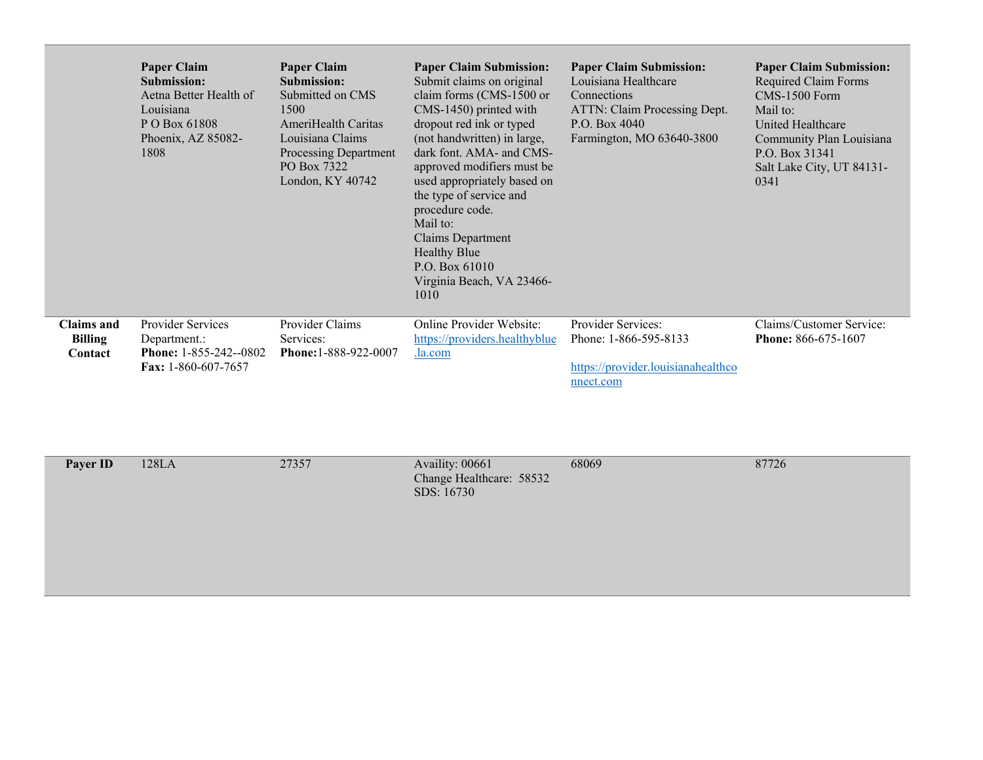|                                                | <b>Paper Claim</b><br>Submission:<br>Aetna Better Health of<br>Louisiana<br>P O Box 61808<br>Phoenix, AZ 85082-<br>1808 | <b>Paper Claim</b><br>Submission:<br>Submitted on CMS<br>1500<br>AmeriHealth Caritas<br>Louisiana Claims<br>Processing Department<br>PO Box 7322<br>London, KY 40742 | <b>Paper Claim Submission:</b><br>Submit claims on original<br>claim forms (CMS-1500 or<br>CMS-1450) printed with<br>dropout red ink or typed<br>(not handwritten) in large,<br>dark font. AMA- and CMS-<br>approved modifiers must be<br>used appropriately based on<br>the type of service and<br>procedure code.<br>Mail to:<br><b>Claims Department</b><br><b>Healthy Blue</b><br>P.O. Box $61010$<br>Virginia Beach, VA 23466-<br>1010 | <b>Paper Claim Submission:</b><br>Louisiana Healthcare<br>Connections<br>ATTN: Claim Processing Dept.<br>P.O. Box 4040<br>Farmington, MO 63640-3800 | <b>Paper Claim Submission:</b><br>Required Claim Forms<br>CMS-1500 Form<br>Mail to:<br>United Healthcare<br>Community Plan Louisiana<br>P.O. Box 31341<br>Salt Lake City, UT 84131-<br>0341 |
|------------------------------------------------|-------------------------------------------------------------------------------------------------------------------------|----------------------------------------------------------------------------------------------------------------------------------------------------------------------|---------------------------------------------------------------------------------------------------------------------------------------------------------------------------------------------------------------------------------------------------------------------------------------------------------------------------------------------------------------------------------------------------------------------------------------------|-----------------------------------------------------------------------------------------------------------------------------------------------------|---------------------------------------------------------------------------------------------------------------------------------------------------------------------------------------------|
| <b>Claims and</b><br><b>Billing</b><br>Contact | <b>Provider Services</b><br>Department.:<br><b>Phone:</b> $1-855-242-0802$<br>Fax: 1-860-607-7657                       | Provider Claims<br>Services:<br>Phone: 1-888-922-0007                                                                                                                | <b>Online Provider Website:</b><br>https://providers.healthyblue<br>.la.com                                                                                                                                                                                                                                                                                                                                                                 | Provider Services:<br>Phone: 1-866-595-8133<br>https://provider.louisianahealthco<br>nnect.com                                                      | Claims/Customer Service:<br>Phone: 866-675-1607                                                                                                                                             |

| Payer ID | 128LA | 27357 | Availity: 00661<br>Change Healthcare: 58532<br>SDS: 16730 | 68069 | 87726 |
|----------|-------|-------|-----------------------------------------------------------|-------|-------|
|          |       |       |                                                           |       |       |
|          |       |       |                                                           |       |       |